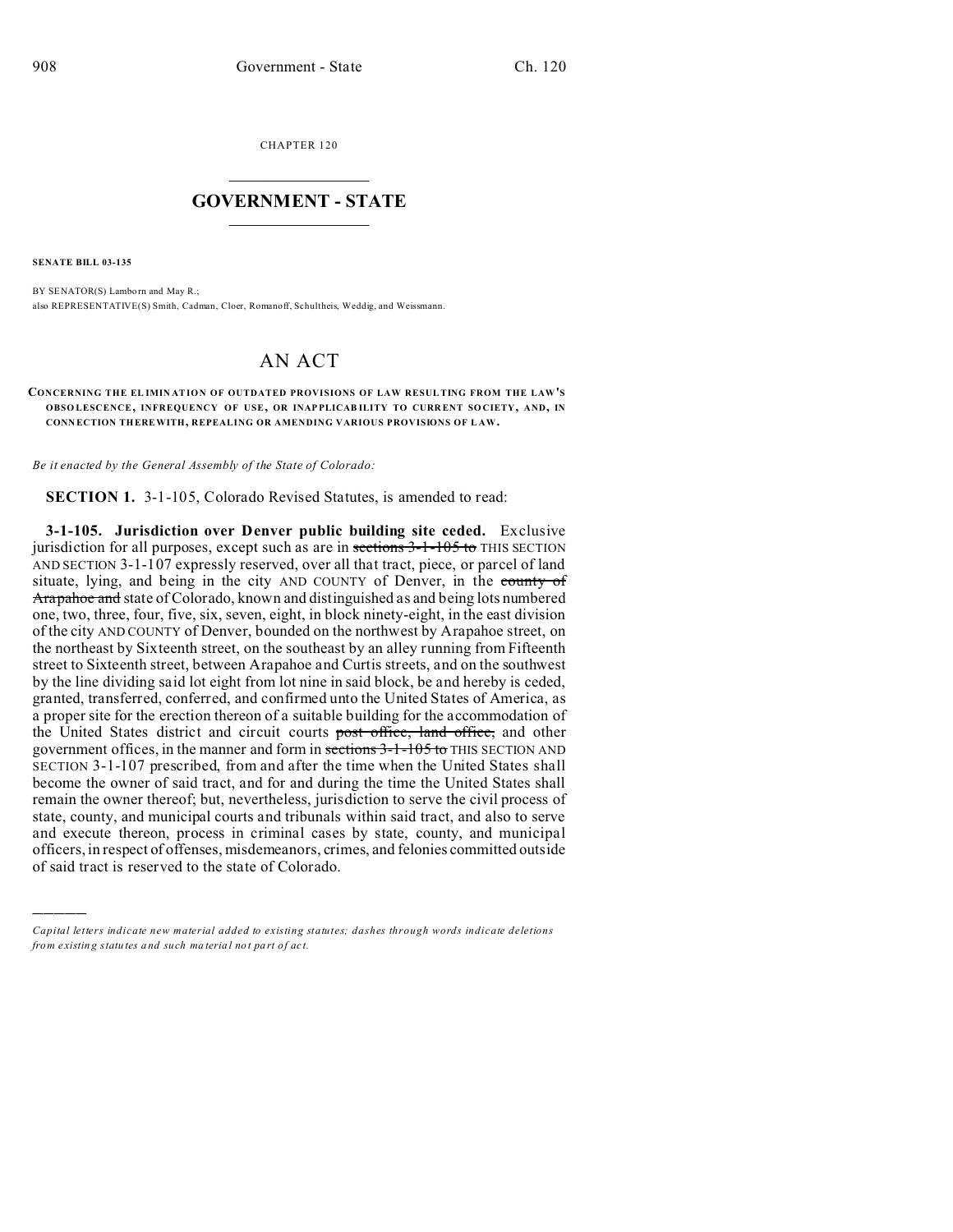CHAPTER 120  $\overline{\phantom{a}}$  , where  $\overline{\phantom{a}}$ 

## **GOVERNMENT - STATE**  $\_$   $\_$   $\_$   $\_$   $\_$   $\_$   $\_$   $\_$   $\_$

**SENATE BILL 03-135**

)))))

BY SENATOR(S) Lambo rn and May R.; also REPRESENTATIVE(S) Smith, Cadman, Cloer, Romanoff, Schultheis, Weddig, and Weissmann.

## AN ACT

**CONCERNING THE EL IMIN ATION OF OUTDATED PROVISIONS OF LAW RESUL TING FROM THE LAW'S OBSO LESCENCE, INFREQUENCY OF USE, OR INAP PLICAB ILITY TO CURR ENT SO CIETY, AND, IN CONN ECTION THEREWITH, REPEALING OR AMENDING VARIOUS PROVISIONS OF L AW.**

*Be it enacted by the General Assembly of the State of Colorado:*

**SECTION 1.** 3-1-105, Colorado Revised Statutes, is amended to read:

**3-1-105. Jurisdiction over Denver public building site ceded.** Exclusive jurisdiction for all purposes, except such as are in sections 3-1-105 to THIS SECTION AND SECTION 3-1-107 expressly reserved, over all that tract, piece, or parcel of land situate, lying, and being in the city AND COUNTY of Denver, in the county of Arapahoe and state of Colorado, known and distinguished as and being lots numbered one, two, three, four, five, six, seven, eight, in block ninety-eight, in the east division of the city AND COUNTY of Denver, bounded on the northwest by Arapahoe street, on the northeast by Sixteenth street, on the southeast by an alley running from Fifteenth street to Sixteenth street, between Arapahoe and Curtis streets, and on the southwest by the line dividing said lot eight from lot nine in said block, be and hereby is ceded, granted, transferred, conferred, and confirmed unto the United States of America, as a proper site for the erection thereon of a suitable building for the accommodation of the United States district and circuit courts post office, land office, and other government offices, in the manner and form in sections 3-1-105 to THIS SECTION AND SECTION 3-1-107 prescribed, from and after the time when the United States shall become the owner of said tract, and for and during the time the United States shall remain the owner thereof; but, nevertheless, jurisdiction to serve the civil process of state, county, and municipal courts and tribunals within said tract, and also to serve and execute thereon, process in criminal cases by state, county, and municipal officers, in respect of offenses, misdemeanors, crimes, and felonies committed outside of said tract is reserved to the state of Colorado.

*Capital letters indicate new material added to existing statutes; dashes through words indicate deletions from e xistin g statu tes a nd such ma teria l no t pa rt of ac t.*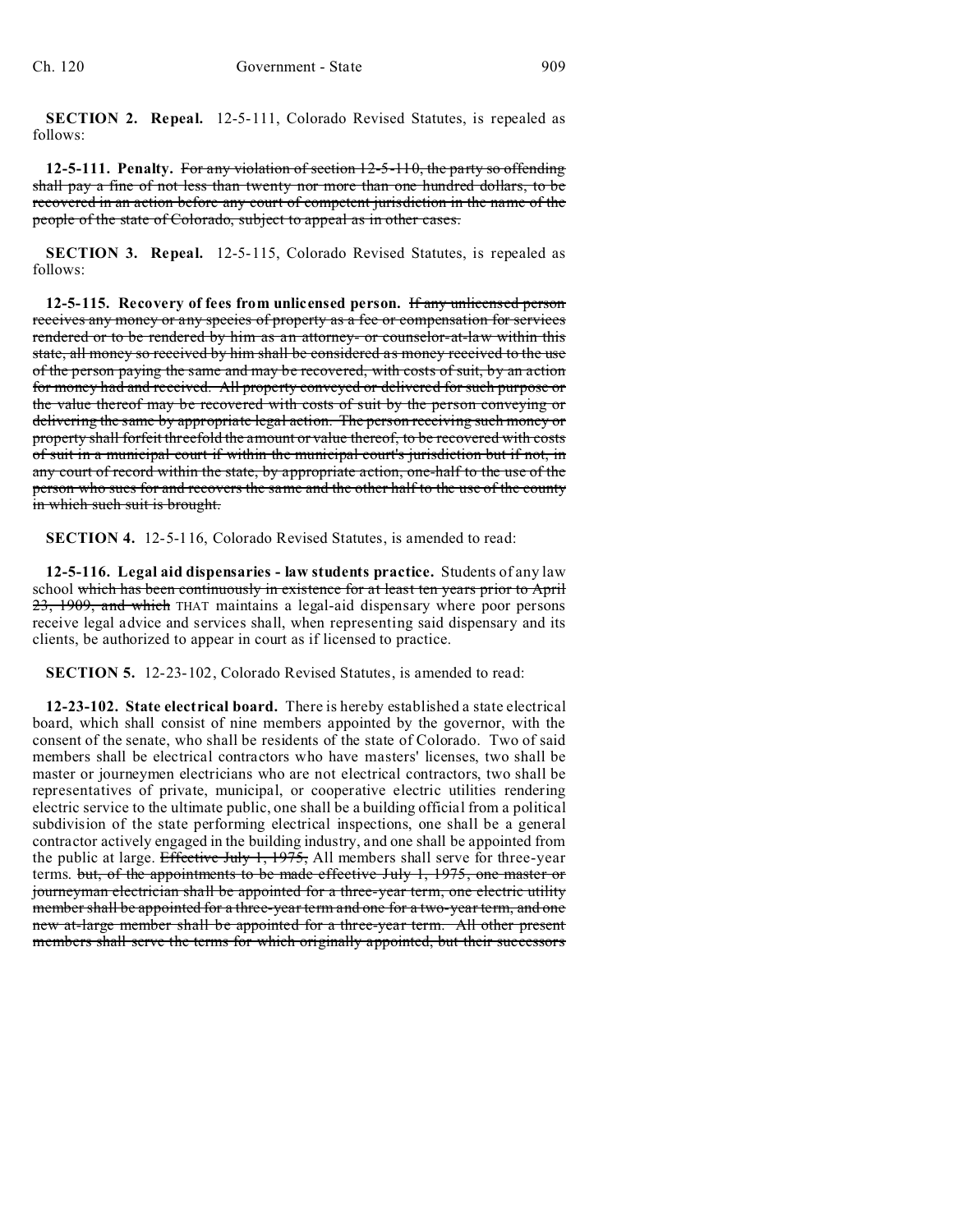**SECTION 2. Repeal.** 12-5-111, Colorado Revised Statutes, is repealed as follows:

**12-5-111. Penalty.** For any violation of section 12-5-110, the party so offending shall pay a fine of not less than twenty nor more than one hundred dollars, to be recovered in an action before any court of competent jurisdiction in the name of the people of the state of Colorado, subject to appeal as in other cases.

**SECTION 3. Repeal.** 12-5-115, Colorado Revised Statutes, is repealed as follows:

**12-5-115. Recovery of fees from unlicensed person.** If any unlicensed person receives any money or any species of property as a fee or compensation for services rendered or to be rendered by him as an attorney- or counselor-at-law within this state, all money so received by him shall be considered as money received to the use of the person paying the same and may be recovered, with costs of suit, by an action for money had and received. All property conveyed or delivered for such purpose or the value thereof may be recovered with costs of suit by the person conveying or delivering the same by appropriate legal action. The person receiving such money or property shall forfeit threefold the amount or value thereof, to be recovered with costs of suit in a municipal court if within the municipal court's jurisdiction but if not, in any court of record within the state, by appropriate action, one-half to the use of the person who sues for and recovers the same and the other half to the use of the county in which such suit is brought.

**SECTION 4.** 12-5-116, Colorado Revised Statutes, is amended to read:

**12-5-116. Legal aid dispensaries - law students practice.** Students of any law school which has been continuously in existence for at least ten years prior to April 23, 1909, and which THAT maintains a legal-aid dispensary where poor persons receive legal advice and services shall, when representing said dispensary and its clients, be authorized to appear in court as if licensed to practice.

**SECTION 5.** 12-23-102, Colorado Revised Statutes, is amended to read:

**12-23-102. State electrical board.** There is hereby established a state electrical board, which shall consist of nine members appointed by the governor, with the consent of the senate, who shall be residents of the state of Colorado. Two of said members shall be electrical contractors who have masters' licenses, two shall be master or journeymen electricians who are not electrical contractors, two shall be representatives of private, municipal, or cooperative electric utilities rendering electric service to the ultimate public, one shall be a building official from a political subdivision of the state performing electrical inspections, one shall be a general contractor actively engaged in the building industry, and one shall be appointed from the public at large. Effective July 1, 1975, All members shall serve for three-year terms. but, of the appointments to be made effective July 1, 1975, one master or journeyman electrician shall be appointed for a three-year term, one electric utility member shall be appointed for a three-year term and one for a two-year term, and one new at-large member shall be appointed for a three-year term. All other present members shall serve the terms for which originally appointed, but their successors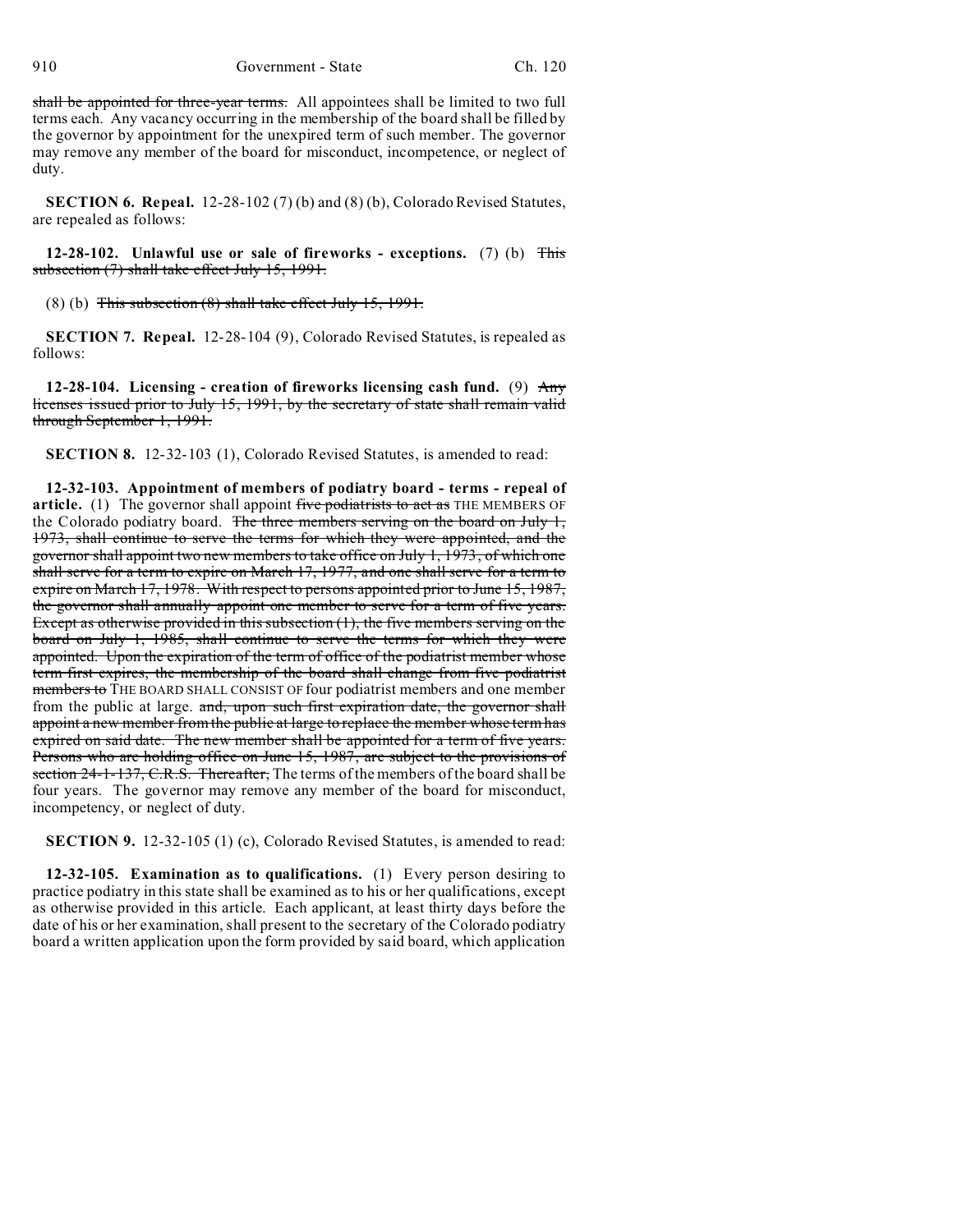910 Government - State Ch. 120

shall be appointed for three-year terms. All appointees shall be limited to two full terms each. Any vacancy occurring in the membership of the board shall be filled by the governor by appointment for the unexpired term of such member. The governor may remove any member of the board for misconduct, incompetence, or neglect of duty.

**SECTION 6. Repeal.** 12-28-102 (7) (b) and (8) (b), Colorado Revised Statutes, are repealed as follows:

**12-28-102. Unlawful use or sale of fireworks - exceptions.** (7) (b) This subsection (7) shall take effect July 15, 1991.

(8) (b) This subsection (8) shall take effect July 15, 1991.

**SECTION 7. Repeal.** 12-28-104 (9), Colorado Revised Statutes, is repealed as follows:

**12-28-104. Licensing - creation of fireworks licensing cash fund.** (9) Any licenses issued prior to July 15, 1991, by the secretary of state shall remain valid through September 1, 1991.

**SECTION 8.** 12-32-103 (1), Colorado Revised Statutes, is amended to read:

**12-32-103. Appointment of members of podiatry board - terms - repeal of** article. (1) The governor shall appoint five podiatrists to act as THE MEMBERS OF the Colorado podiatry board. The three members serving on the board on July 1, 1973, shall continue to serve the terms for which they were appointed, and the governor shall appoint two new members to take office on July 1, 1973, of which one shall serve for a term to expire on March 17, 1977, and one shall serve for a term to expire on March 17, 1978. With respect to persons appointed prior to June 15, 1987, the governor shall annually appoint one member to serve for a term of five years. Except as otherwise provided in this subsection (1), the five members serving on the board on July 1, 1985, shall continue to serve the terms for which they were appointed. Upon the expiration of the term of office of the podiatrist member whose term first expires, the membership of the board shall change from five podiatrist members to THE BOARD SHALL CONSIST OF four podiatrist members and one member from the public at large. and, upon such first expiration date, the governor shall appoint a new member from the public at large to replace the member whose term has expired on said date. The new member shall be appointed for a term of five years. Persons who are holding office on June 15, 1987, are subject to the provisions of section 24-1-137, C.R.S. Thereafter, The terms of the members of the board shall be four years. The governor may remove any member of the board for misconduct, incompetency, or neglect of duty.

**SECTION 9.** 12-32-105 (1) (c), Colorado Revised Statutes, is amended to read:

**12-32-105. Examination as to qualifications.** (1) Every person desiring to practice podiatry in this state shall be examined as to his or her qualifications, except as otherwise provided in this article. Each applicant, at least thirty days before the date of his or her examination, shall present to the secretary of the Colorado podiatry board a written application upon the form provided by said board, which application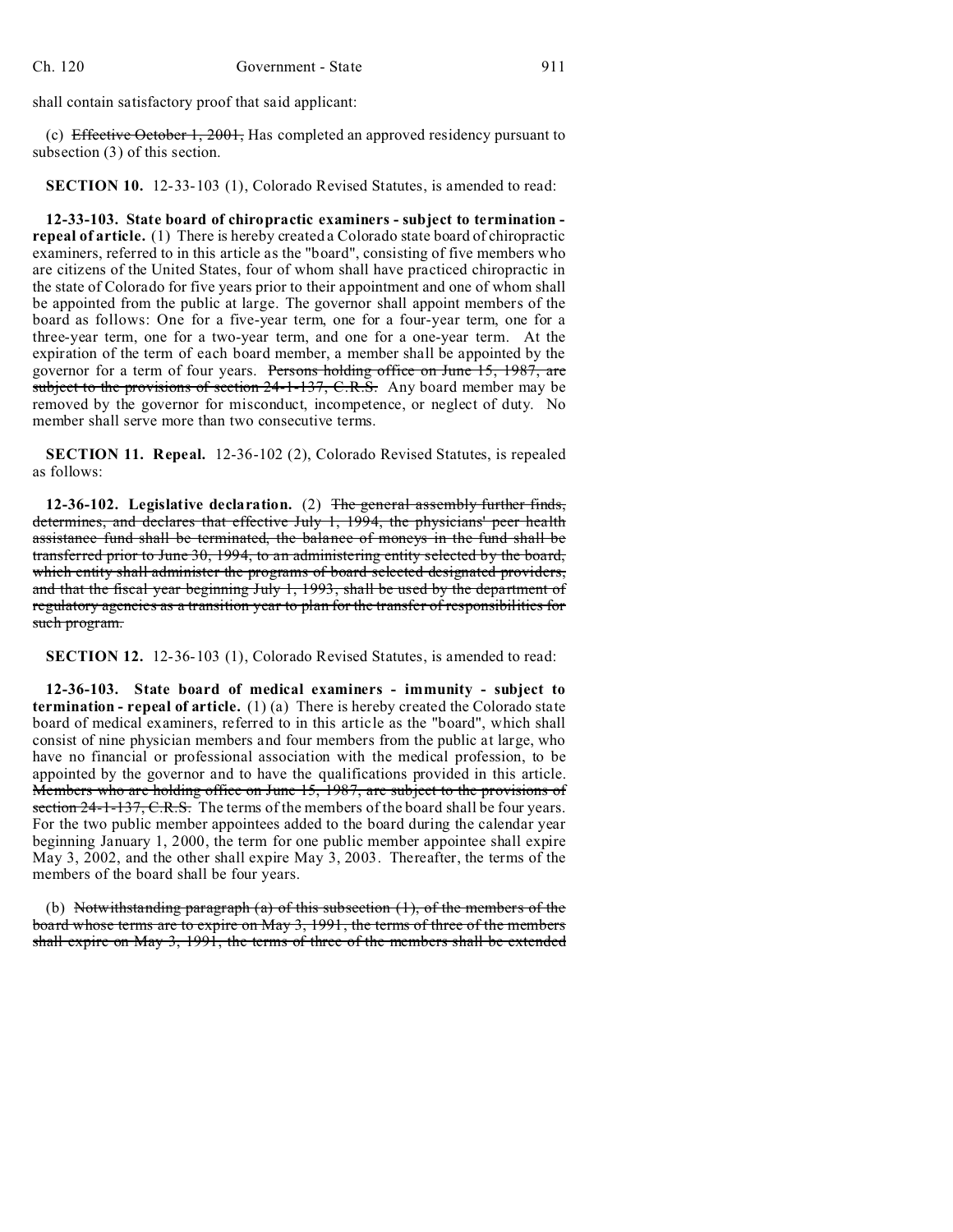shall contain satisfactory proof that said applicant:

(c) Effective October 1, 2001, Has completed an approved residency pursuant to subsection (3) of this section.

**SECTION 10.** 12-33-103 (1), Colorado Revised Statutes, is amended to read:

**12-33-103. State board of chiropractic examiners - subject to termination repeal of article.** (1) There is hereby created a Colorado state board of chiropractic examiners, referred to in this article as the "board", consisting of five members who are citizens of the United States, four of whom shall have practiced chiropractic in the state of Colorado for five years prior to their appointment and one of whom shall be appointed from the public at large. The governor shall appoint members of the board as follows: One for a five-year term, one for a four-year term, one for a three-year term, one for a two-year term, and one for a one-year term. At the expiration of the term of each board member, a member shall be appointed by the governor for a term of four years. Persons holding office on June 15, 1987, are subject to the provisions of section 24-1-137, C.R.S. Any board member may be removed by the governor for misconduct, incompetence, or neglect of duty. No member shall serve more than two consecutive terms.

**SECTION 11. Repeal.** 12-36-102 (2), Colorado Revised Statutes, is repealed as follows:

**12-36-102. Legislative declaration.** (2) The general assembly further finds, determines, and declares that effective July 1, 1994, the physicians' peer health assistance fund shall be terminated, the balance of moneys in the fund shall be transferred prior to June 30, 1994, to an administering entity selected by the board, which entity shall administer the programs of board selected designated providers, and that the fiscal year beginning July 1, 1993, shall be used by the department of regulatory agencies as a transition year to plan for the transfer of responsibilities for such program.

**SECTION 12.** 12-36-103 (1), Colorado Revised Statutes, is amended to read:

**12-36-103. State board of medical examiners - immunity - subject to termination - repeal of article.** (1) (a) There is hereby created the Colorado state board of medical examiners, referred to in this article as the "board", which shall consist of nine physician members and four members from the public at large, who have no financial or professional association with the medical profession, to be appointed by the governor and to have the qualifications provided in this article. Members who are holding office on June 15, 1987, are subject to the provisions of section 24-1-137, C.R.S. The terms of the members of the board shall be four years. For the two public member appointees added to the board during the calendar year beginning January 1, 2000, the term for one public member appointee shall expire May 3, 2002, and the other shall expire May 3, 2003. Thereafter, the terms of the members of the board shall be four years.

(b) Notwithstanding paragraph (a) of this subsection  $(1)$ , of the members of the board whose terms are to expire on May 3, 1991, the terms of three of the members shall expire on May 3, 1991, the terms of three of the members shall be extended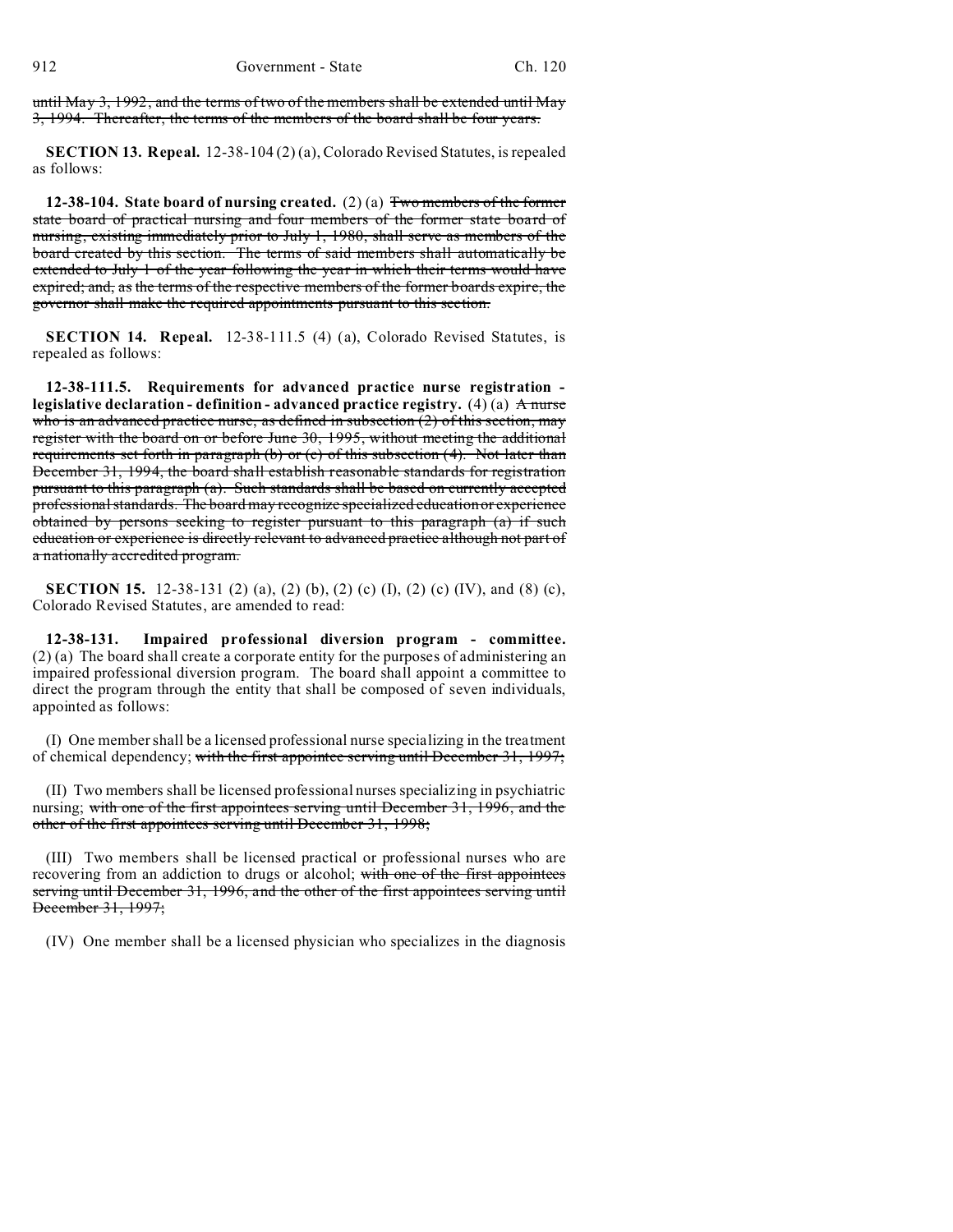until May 3, 1992, and the terms of two of the members shall be extended until May 3, 1994. Thereafter, the terms of the members of the board shall be four years.

**SECTION 13. Repeal.** 12-38-104 (2) (a), Colorado Revised Statutes, is repealed as follows:

**12-38-104. State board of nursing created.** (2) (a) Two members of the former state board of practical nursing and four members of the former state board of nursing, existing immediately prior to July 1, 1980, shall serve as members of the board created by this section. The terms of said members shall automatically be extended to July 1 of the year following the year in which their terms would have expired; and, as the terms of the respective members of the former boards expire, the governor shall make the required appointments pursuant to this section.

**SECTION 14. Repeal.** 12-38-111.5 (4) (a), Colorado Revised Statutes, is repealed as follows:

**12-38-111.5. Requirements for advanced practice nurse registration legislative declaration - definition - advanced practice registry.** (4) (a) A nurse who is an advanced practice nurse, as defined in subsection  $(2)$  of this section, may register with the board on or before June 30, 1995, without meeting the additional requirements set forth in paragraph (b) or (c) of this subsection (4). Not later than December 31, 1994, the board shall establish reasonable standards for registration pursuant to this paragraph (a). Such standards shall be based on currently accepted professional standards. The board may recognize specialized education or experience obtained by persons seeking to register pursuant to this paragraph (a) if such education or experience is directly relevant to advanced practice although not part of a nationally accredited program.

**SECTION 15.** 12-38-131 (2) (a), (2) (b), (2) (c) (I), (2) (c) (IV), and (8) (c), Colorado Revised Statutes, are amended to read:

**12-38-131. Impaired professional diversion program - committee.** (2) (a) The board shall create a corporate entity for the purposes of administering an impaired professional diversion program. The board shall appoint a committee to direct the program through the entity that shall be composed of seven individuals, appointed as follows:

(I) One member shall be a licensed professional nurse specializing in the treatment of chemical dependency; with the first appointee serving until December 31, 1997;

(II) Two members shall be licensed professional nurses specializing in psychiatric nursing; with one of the first appointees serving until December 31, 1996, and the other of the first appointees serving until December 31, 1998;

(III) Two members shall be licensed practical or professional nurses who are recovering from an addiction to drugs or alcohol; with one of the first appointees serving until December 31, 1996, and the other of the first appointees serving until December 31, 1997;

(IV) One member shall be a licensed physician who specializes in the diagnosis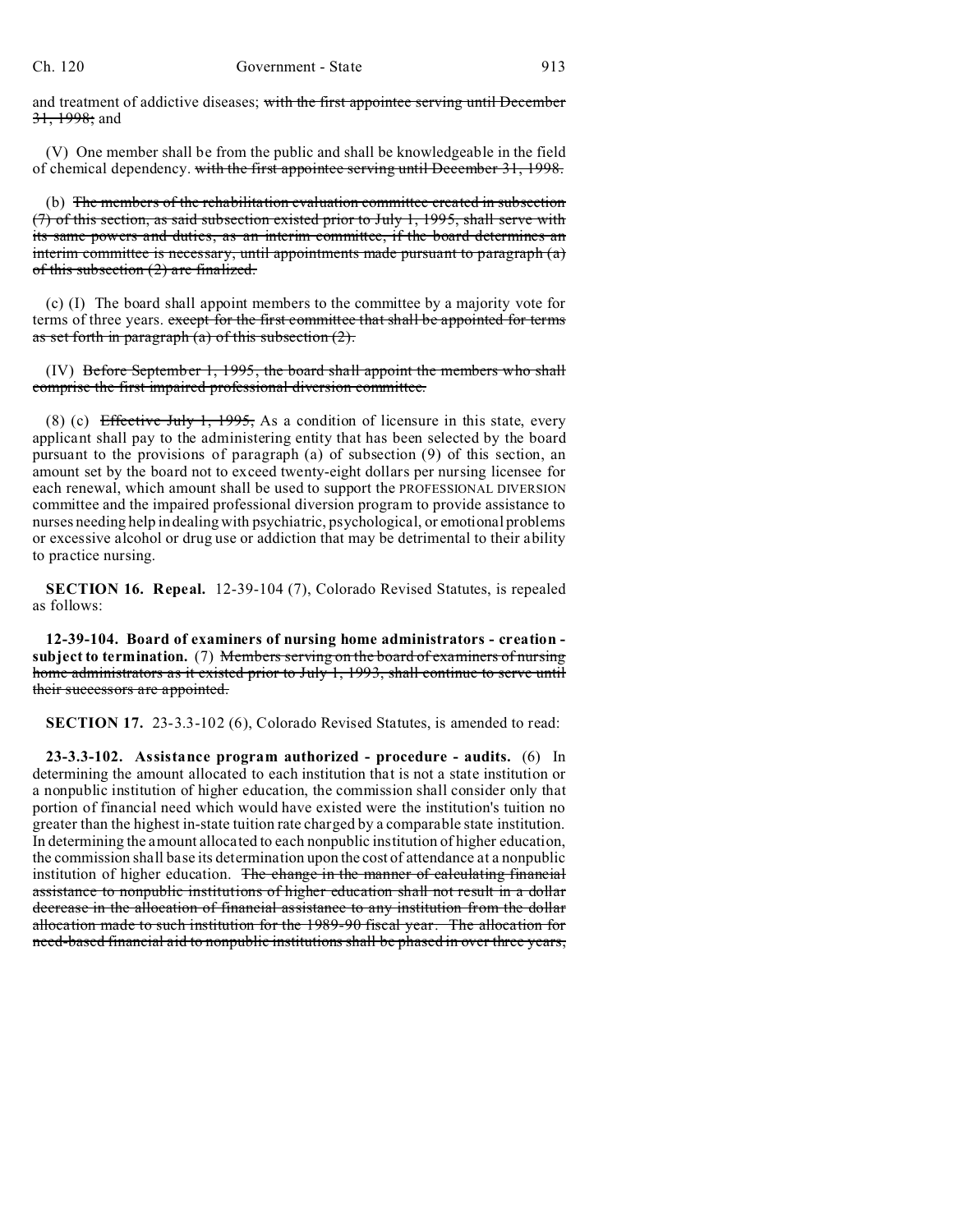and treatment of addictive diseases; with the first appointee serving until December 31, 1998; and

(V) One member shall be from the public and shall be knowledgeable in the field of chemical dependency. with the first appointee serving until December 31, 1998.

(b) The members of the rehabilitation evaluation committee created in subsection (7) of this section, as said subsection existed prior to July 1, 1995, shall serve with its same powers and duties, as an interim committee, if the board determines an interim committee is necessary, until appointments made pursuant to paragraph (a) of this subsection (2) are finalized.

(c) (I) The board shall appoint members to the committee by a majority vote for terms of three years. except for the first committee that shall be appointed for terms as set forth in paragraph  $(a)$  of this subsection  $(2)$ .

(IV) Before September 1, 1995, the board shall appoint the members who shall comprise the first impaired professional diversion committee.

(8) (c) Effective July 1, 1995, As a condition of licensure in this state, every applicant shall pay to the administering entity that has been selected by the board pursuant to the provisions of paragraph (a) of subsection (9) of this section, an amount set by the board not to exceed twenty-eight dollars per nursing licensee for each renewal, which amount shall be used to support the PROFESSIONAL DIVERSION committee and the impaired professional diversion program to provide assistance to nurses needing help in dealing with psychiatric, psychological, or emotional problems or excessive alcohol or drug use or addiction that may be detrimental to their ability to practice nursing.

**SECTION 16. Repeal.** 12-39-104 (7), Colorado Revised Statutes, is repealed as follows:

**12-39-104. Board of examiners of nursing home administrators - creation subject to termination.** (7) Members serving on the board of examiners of nursing home administrators as it existed prior to July 1, 1993, shall continue to serve until their successors are appointed.

**SECTION 17.** 23-3.3-102 (6), Colorado Revised Statutes, is amended to read:

**23-3.3-102. Assistance program authorized - procedure - audits.** (6) In determining the amount allocated to each institution that is not a state institution or a nonpublic institution of higher education, the commission shall consider only that portion of financial need which would have existed were the institution's tuition no greater than the highest in-state tuition rate charged by a comparable state institution. In determining the amount allocated to each nonpublic institution of higher education, the commission shall base its determination upon the cost of attendance at a nonpublic institution of higher education. The change in the manner of calculating financial assistance to nonpublic institutions of higher education shall not result in a dollar decrease in the allocation of financial assistance to any institution from the dollar allocation made to such institution for the 1989-90 fiscal year. The allocation for need-based financial aid to nonpublic institutions shall be phased in over three years,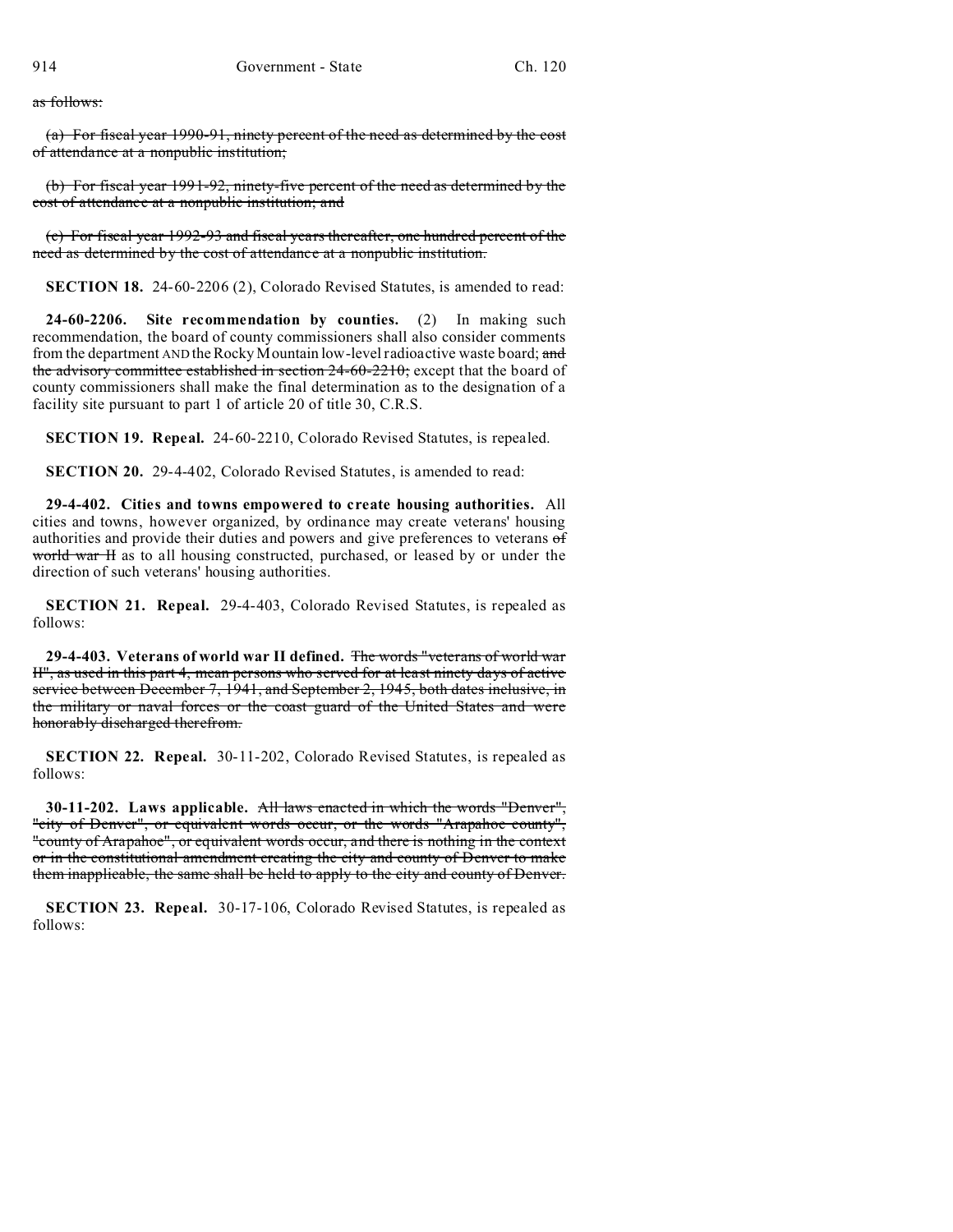as follows:

(a) For fiscal year 1990-91, ninety percent of the need as determined by the cost of attendance at a nonpublic institution;

(b) For fiscal year 1991-92, ninety-five percent of the need as determined by the cost of attendance at a nonpublic institution; and

(c) For fiscal year 1992-93 and fiscal years thereafter, one hundred percent of the need as determined by the cost of attendance at a nonpublic institution.

**SECTION 18.** 24-60-2206 (2), Colorado Revised Statutes, is amended to read:

**24-60-2206. Site recommendation by counties.** (2) In making such recommendation, the board of county commissioners shall also consider comments from the department AND the Rocky Mountain low-level radioactive waste board; and the advisory committee established in section 24-60-2210; except that the board of county commissioners shall make the final determination as to the designation of a facility site pursuant to part 1 of article 20 of title 30, C.R.S.

**SECTION 19. Repeal.** 24-60-2210, Colorado Revised Statutes, is repealed.

**SECTION 20.** 29-4-402, Colorado Revised Statutes, is amended to read:

**29-4-402. Cities and towns empowered to create housing authorities.** All cities and towns, however organized, by ordinance may create veterans' housing authorities and provide their duties and powers and give preferences to veterans of world war H as to all housing constructed, purchased, or leased by or under the direction of such veterans' housing authorities.

**SECTION 21. Repeal.** 29-4-403, Colorado Revised Statutes, is repealed as follows:

**29-4-403. Veterans of world war II defined.** The words "veterans of world war II", as used in this part 4, mean persons who served for at least ninety days of active service between December 7, 1941, and September 2, 1945, both dates inclusive, in the military or naval forces or the coast guard of the United States and were honorably discharged therefrom.

**SECTION 22. Repeal.** 30-11-202, Colorado Revised Statutes, is repealed as follows:

**30-11-202. Laws applicable.** All laws enacted in which the words "Denver", "city of Denver", or equivalent words occur, or the words "Arapahoe county", "county of Arapahoe", or equivalent words occur, and there is nothing in the context or in the constitutional amendment creating the city and county of Denver to make them inapplicable, the same shall be held to apply to the city and county of Denver.

**SECTION 23. Repeal.** 30-17-106, Colorado Revised Statutes, is repealed as follows: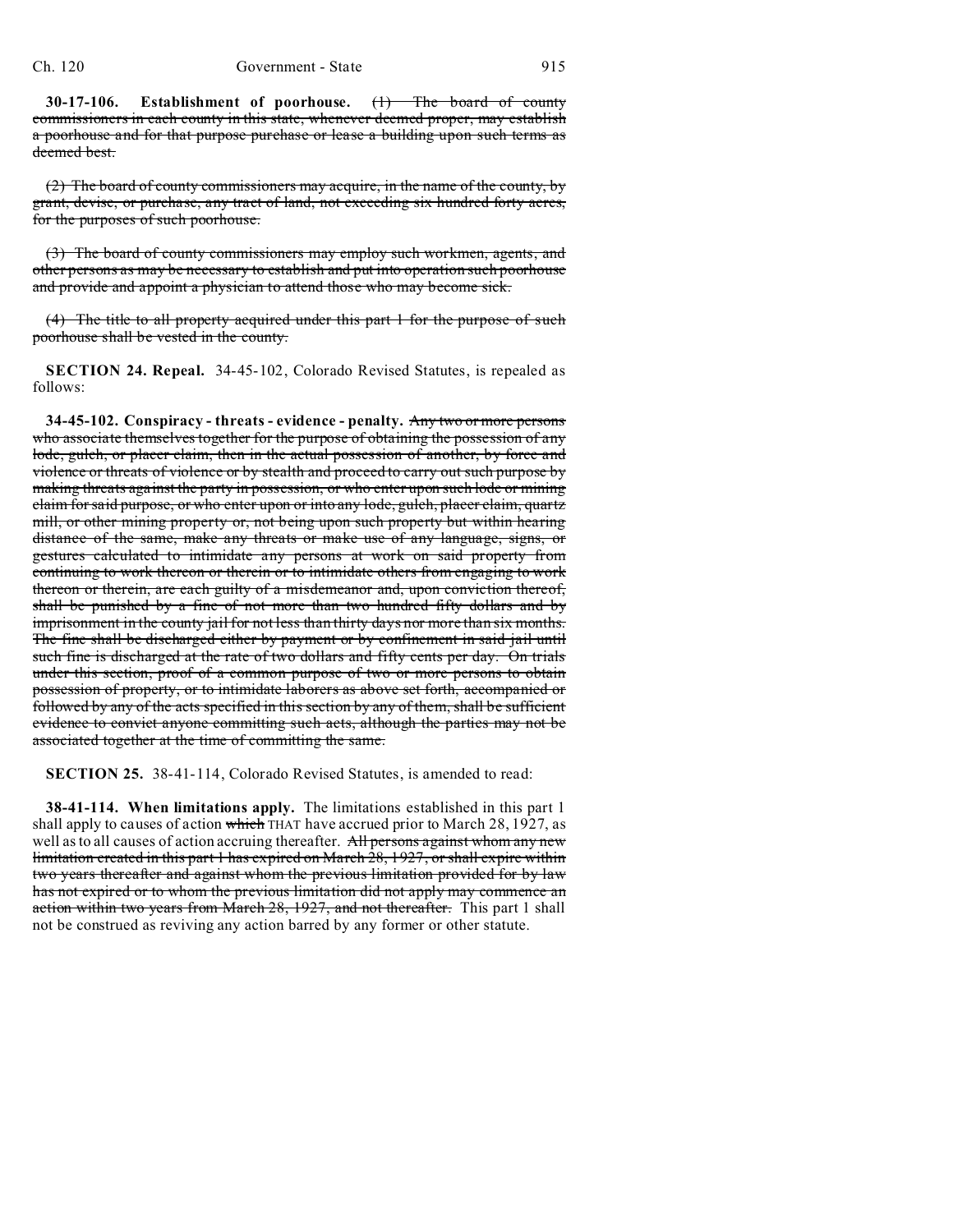**30-17-106. Establishment of poorhouse.** (1) The board of county commissioners in each county in this state, whenever deemed proper, may establish a poorhouse and for that purpose purchase or lease a building upon such terms as deemed best.

(2) The board of county commissioners may acquire, in the name of the county, by grant, devise, or purchase, any tract of land, not exceeding six hundred forty acres, for the purposes of such poorhouse.

(3) The board of county commissioners may employ such workmen, agents, and other persons as may be necessary to establish and put into operation such poorhouse and provide and appoint a physician to attend those who may become sick.

(4) The title to all property acquired under this part 1 for the purpose of such poorhouse shall be vested in the county.

**SECTION 24. Repeal.** 34-45-102, Colorado Revised Statutes, is repealed as follows:

**34-45-102. Conspiracy - threats - evidence - penalty.** Any two or more persons who associate themselves together for the purpose of obtaining the possession of any lode, gulch, or placer claim, then in the actual possession of another, by force and violence or threats of violence or by stealth and proceed to carry out such purpose by making threats against the party in possession, or who enter upon such lode or mining claim for said purpose, or who enter upon or into any lode, gulch, placer claim, quartz mill, or other mining property or, not being upon such property but within hearing distance of the same, make any threats or make use of any language, signs, or gestures calculated to intimidate any persons at work on said property from continuing to work thereon or therein or to intimidate others from engaging to work thereon or therein, are each guilty of a misdemeanor and, upon conviction thereof, shall be punished by a fine of not more than two hundred fifty dollars and by imprisonment in the county jail for not less than thirty days nor more than six months. The fine shall be discharged either by payment or by confinement in said jail until such fine is discharged at the rate of two dollars and fifty cents per day. On trials under this section, proof of a common purpose of two or more persons to obtain possession of property, or to intimidate laborers as above set forth, accompanied or followed by any of the acts specified in this section by any of them, shall be sufficient evidence to convict anyone committing such acts, although the parties may not be associated together at the time of committing the same.

**SECTION 25.** 38-41-114, Colorado Revised Statutes, is amended to read:

**38-41-114. When limitations apply.** The limitations established in this part 1 shall apply to causes of action which THAT have accrued prior to March 28, 1927, as well as to all causes of action accruing thereafter. All persons against whom any new limitation created in this part 1 has expired on March 28, 1927, or shall expire within two years thereafter and against whom the previous limitation provided for by law has not expired or to whom the previous limitation did not apply may commence an action within two years from March 28, 1927, and not thereafter. This part 1 shall not be construed as reviving any action barred by any former or other statute.